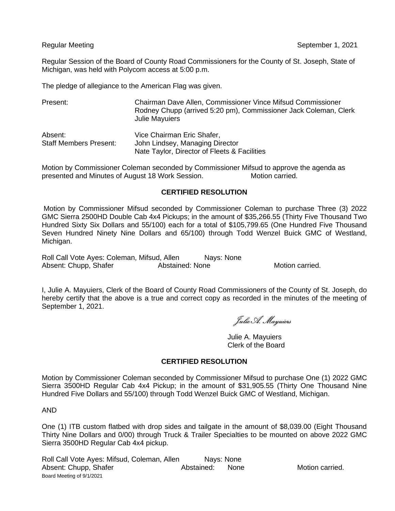Regular Session of the Board of County Road Commissioners for the County of St. Joseph, State of Michigan, was held with Polycom access at 5:00 p.m.

The pledge of allegiance to the American Flag was given.

| Present:                                 | Chairman Dave Allen, Commissioner Vince Mifsud Commissioner<br>Rodney Chupp (arrived 5:20 pm), Commissioner Jack Coleman, Clerk<br><b>Julie Mayuiers</b> |
|------------------------------------------|----------------------------------------------------------------------------------------------------------------------------------------------------------|
| Absent:<br><b>Staff Members Present:</b> | Vice Chairman Eric Shafer,                                                                                                                               |
|                                          | John Lindsey, Managing Director<br>Nate Taylor, Director of Fleets & Facilities                                                                          |

Motion by Commissioner Coleman seconded by Commissioner Mifsud to approve the agenda as presented and Minutes of August 18 Work Session. Motion carried.

## **CERTIFIED RESOLUTION**

Motion by Commissioner Mifsud seconded by Commissioner Coleman to purchase Three (3) 2022 GMC Sierra 2500HD Double Cab 4x4 Pickups; in the amount of \$35,266.55 (Thirty Five Thousand Two Hundred Sixty Six Dollars and 55/100) each for a total of \$105,799.65 (One Hundred Five Thousand Seven Hundred Ninety Nine Dollars and 65/100) through Todd Wenzel Buick GMC of Westland, Michigan.

Roll Call Vote Ayes: Coleman, Mifsud, Allen Nays: None Absent: Chupp, Shafer **Abstained: None** Motion carried.

I, Julie A. Mayuiers, Clerk of the Board of County Road Commissioners of the County of St. Joseph, do hereby certify that the above is a true and correct copy as recorded in the minutes of the meeting of September 1, 2021.

Julie A. Mayuiers

Julie A. Mayuiers Clerk of the Board

## **CERTIFIED RESOLUTION**

Motion by Commissioner Coleman seconded by Commissioner Mifsud to purchase One (1) 2022 GMC Sierra 3500HD Regular Cab 4x4 Pickup; in the amount of \$31,905.55 (Thirty One Thousand Nine Hundred Five Dollars and 55/100) through Todd Wenzel Buick GMC of Westland, Michigan.

AND

One (1) ITB custom flatbed with drop sides and tailgate in the amount of \$8,039.00 (Eight Thousand Thirty Nine Dollars and 0/00) through Truck & Trailer Specialties to be mounted on above 2022 GMC Sierra 3500HD Regular Cab 4x4 pickup.

Board Meeting of 9/1/2021 Roll Call Vote Ayes: Mifsud, Coleman, Allen Nays: None Absent: Chupp, Shafer **Abstained:** None Motion carried.